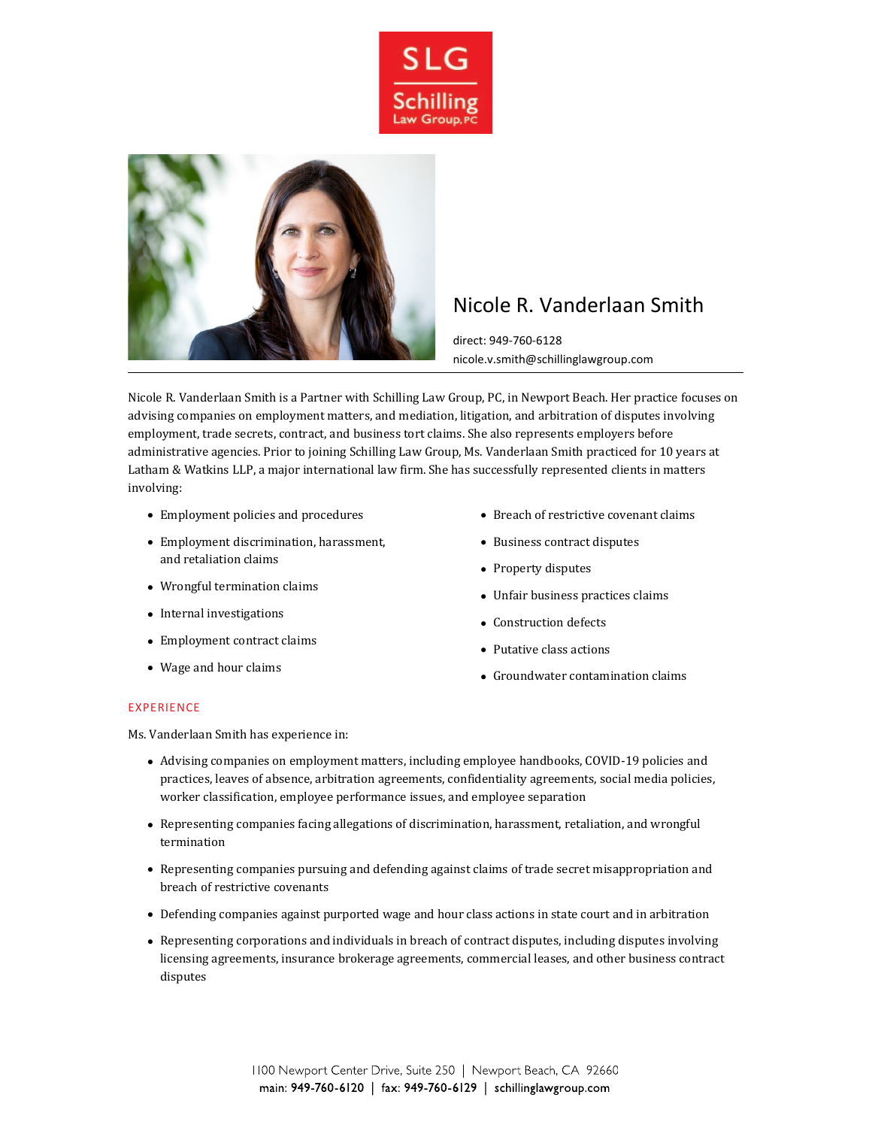



# Nicole R. Vanderlaan Smith

direct: 949-760-6128 nicole.v.smith@schillinglawgroup.com

Nicole R. Vanderlaan Smith is a Partner with Schilling Law Group, PC, in Newport Beach. Her practice focuses on advising companies on employment matters, and mediation, litigation, and arbitration of disputes involving employment, trade secrets, contract, and business tort claims. She also represents employers before administrative agencies. Prior to joining Schilling Law Group, Ms. Vanderlaan Smith practiced for 10 years at Latham & Watkins LLP, a major international law firm. She has successfully represented clients in matters involving:

- Employment policies and procedures
- Employment discrimination, harassment, and retaliation claims
- Wrongful termination claims
- Internal investigations
- Employment contract claims
- Wage and hour claims
- Breach of restrictive covenant claims
- Business contract disputes
- Property disputes
- Unfair business practices claims
- Construction defects
- Putative class actions
- Groundwater contamination claims

## EXPERIENCE

Ms. Vanderlaan Smith has experience in:

- Advising companies on employment matters, including employee handbooks, COVID-19 policies and practices, leaves of absence, arbitration agreements, confidentiality agreements, social media policies, worker classification, employee performance issues, and employee separation
- Representing companies facing allegations of discrimination, harassment, retaliation, and wrongful termination
- Representing companies pursuing and defending against claims of trade secret misappropriation and breach of restrictive covenants
- Defending companies against purported wage and hour class actions in state court and in arbitration
- Representing corporations and individuals in breach of contract disputes, including disputes involving licensing agreements, insurance brokerage agreements, commercial leases, and other business contract disputes